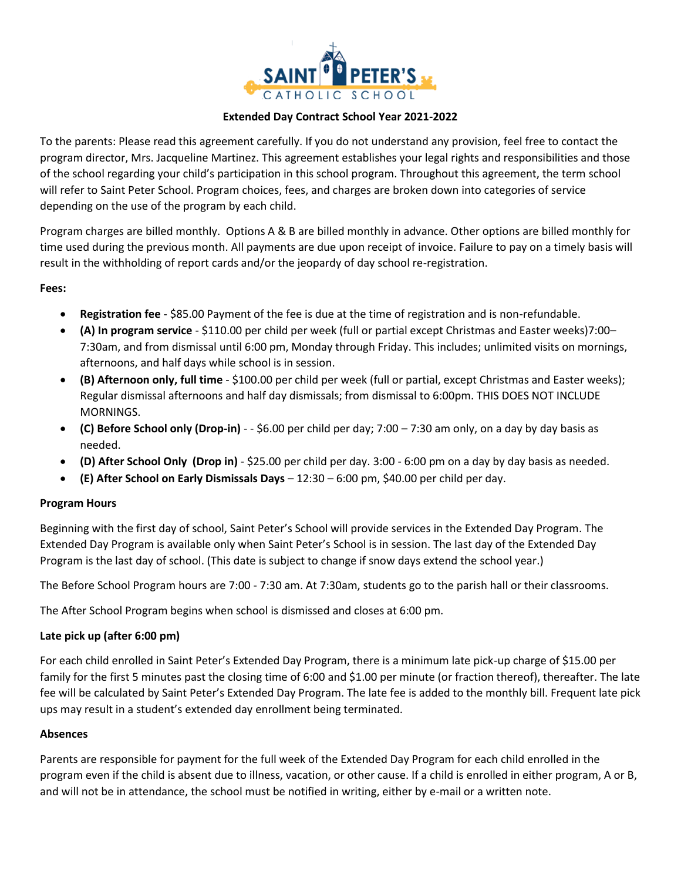

#### **Extended Day Contract School Year 2021-2022**

To the parents: Please read this agreement carefully. If you do not understand any provision, feel free to contact the program director, Mrs. Jacqueline Martinez. This agreement establishes your legal rights and responsibilities and those of the school regarding your child's participation in this school program. Throughout this agreement, the term school will refer to Saint Peter School. Program choices, fees, and charges are broken down into categories of service depending on the use of the program by each child.

Program charges are billed monthly. Options A & B are billed monthly in advance. Other options are billed monthly for time used during the previous month. All payments are due upon receipt of invoice. Failure to pay on a timely basis will result in the withholding of report cards and/or the jeopardy of day school re-registration.

#### **Fees:**

- **Registration fee** \$85.00 Payment of the fee is due at the time of registration and is non-refundable.
- **(A) In program service** \$110.00 per child per week (full or partial except Christmas and Easter weeks)7:00– 7:30am, and from dismissal until 6:00 pm, Monday through Friday. This includes; unlimited visits on mornings, afternoons, and half days while school is in session.
- **(B) Afternoon only, full time** \$100.00 per child per week (full or partial, except Christmas and Easter weeks); Regular dismissal afternoons and half day dismissals; from dismissal to 6:00pm. THIS DOES NOT INCLUDE MORNINGS.
- **(C) Before School only (Drop-in)** - \$6.00 per child per day; 7:00 7:30 am only, on a day by day basis as needed.
- **(D) After School Only (Drop in)** \$25.00 per child per day. 3:00 6:00 pm on a day by day basis as needed.
- **(E) After School on Early Dismissals Days** 12:30 6:00 pm, \$40.00 per child per day.

## **Program Hours**

Beginning with the first day of school, Saint Peter's School will provide services in the Extended Day Program. The Extended Day Program is available only when Saint Peter's School is in session. The last day of the Extended Day Program is the last day of school. (This date is subject to change if snow days extend the school year.)

The Before School Program hours are 7:00 - 7:30 am. At 7:30am, students go to the parish hall or their classrooms.

The After School Program begins when school is dismissed and closes at 6:00 pm.

## **Late pick up (after 6:00 pm)**

For each child enrolled in Saint Peter's Extended Day Program, there is a minimum late pick-up charge of \$15.00 per family for the first 5 minutes past the closing time of 6:00 and \$1.00 per minute (or fraction thereof), thereafter. The late fee will be calculated by Saint Peter's Extended Day Program. The late fee is added to the monthly bill. Frequent late pick ups may result in a student's extended day enrollment being terminated.

#### **Absences**

Parents are responsible for payment for the full week of the Extended Day Program for each child enrolled in the program even if the child is absent due to illness, vacation, or other cause. If a child is enrolled in either program, A or B, and will not be in attendance, the school must be notified in writing, either by e-mail or a written note.